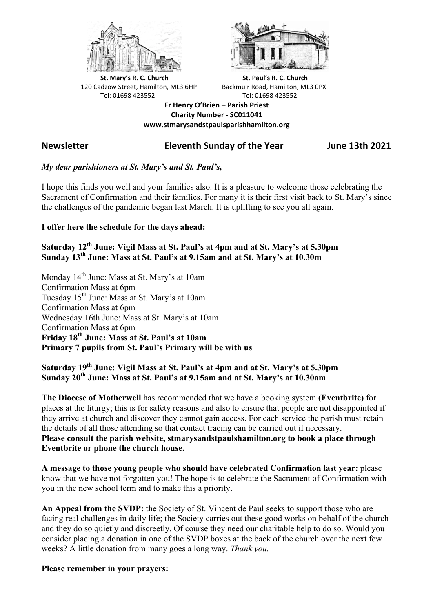



**St.** Mary's R. C. Church St. Paul's R. C. Church 120 Cadzow Street, Hamilton, ML3 6HP Backmuir Road, Hamilton, ML3 0PX Tel: 01698 423552 Tel: 01698 423552

**Fr Henry O'Brien – Parish Priest Charity Number - SC011041 www.stmarysandstpaulsparishhamilton.org**

## **Newsletter Eleventh Sunday of the Year June 13th 2021**

## *My dear parishioners at St. Mary's and St. Paul's,*

I hope this finds you well and your families also. It is a pleasure to welcome those celebrating the Sacrament of Confirmation and their families. For many it is their first visit back to St. Mary's since the challenges of the pandemic began last March. It is uplifting to see you all again.

### **I offer here the schedule for the days ahead:**

**Saturday 12th June: Vigil Mass at St. Paul's at 4pm and at St. Mary's at 5.30pm Sunday 13th June: Mass at St. Paul's at 9.15am and at St. Mary's at 10.30m**

Monday 14<sup>th</sup> June: Mass at St. Mary's at 10am Confirmation Mass at 6pm Tuesday 15th June: Mass at St. Mary's at 10am Confirmation Mass at 6pm Wednesday 16th June: Mass at St. Mary's at 10am Confirmation Mass at 6pm **Friday 18th June: Mass at St. Paul's at 10am Primary 7 pupils from St. Paul's Primary will be with us**

# **Saturday 19th June: Vigil Mass at St. Paul's at 4pm and at St. Mary's at 5.30pm Sunday 20th June: Mass at St. Paul's at 9.15am and at St. Mary's at 10.30am**

**The Diocese of Motherwell** has recommended that we have a booking system **(Eventbrite)** for places at the liturgy; this is for safety reasons and also to ensure that people are not disappointed if they arrive at church and discover they cannot gain access. For each service the parish must retain the details of all those attending so that contact tracing can be carried out if necessary. **Please consult the parish website, stmarysandstpaulshamilton.org to book a place through Eventbrite or phone the church house.**

**A message to those young people who should have celebrated Confirmation last year:** please know that we have not forgotten you! The hope is to celebrate the Sacrament of Confirmation with you in the new school term and to make this a priority.

**An Appeal from the SVDP:** the Society of St. Vincent de Paul seeks to support those who are facing real challenges in daily life; the Society carries out these good works on behalf of the church and they do so quietly and discreetly. Of course they need our charitable help to do so. Would you consider placing a donation in one of the SVDP boxes at the back of the church over the next few weeks? A little donation from many goes a long way. *Thank you.*

### **Please remember in your prayers:**